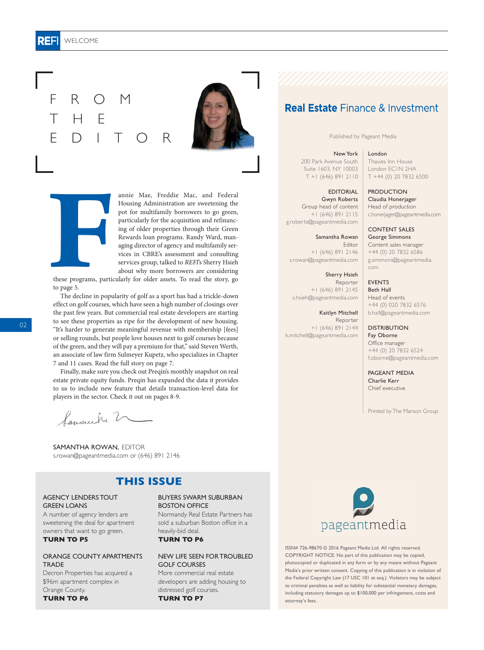#### R 리크 WELCOME

**F**

F R O M

EDITOR

H E

annie Mae, Freddie Mac, and Federal Housing Administration are sweetening the pot for multifamily borrowers to go green, particularly for the acquisition and refinancing of older properties through their Green Rewards loan programs. Randy Ward, managing director of agency and multifamily services in CBRE's assessment and consulting services group, talked to REFI's Sherry Hsieh about why more borrowers are considering

these programs, particularly for older assets. To read the story, go to page 5.

The decline in popularity of golf as a sport has had a trickle-down effect on golf courses, which have seen a high number of closings over the past few years. But commercial real estate developers are starting to see these properties as ripe for the development of new housing. "It's harder to generate meaningful revenue with membership [fees] or selling rounds, but people love houses next to golf courses because of the green, and they will pay a premium for that," said Steven Werth, an associate of law firm Sulmeyer Kupetz, who specializes in Chapter 7 and 11 cases. Read the full story on page 7.

Finally, make sure you check out Preqin's monthly snapshot on real estate private equity funds. Preqin has expanded the data it provides to us to include new feature that details transaction-level data for players in the sector. Check it out on pages 8-9.

Samaulu 2

SAMANTHA ROWAN, EDITOR s.rowan@pageantmedia.com or (646) 891 2146

## **THIS ISSUE**

### AGENCY LENDERS TOUT **GREEN LOANS**

A number of agency lenders are sweetening the deal for apartment owners that want to go green. **TURN TO P5**

### ORANGE COUNTY APARTMENTS **TRADE**

Decron Properties has acquired a \$96m apartment complex in Orange County. **TURN TO P6**

### BUYERS SWARM SUBURBAN BOSTON OFFICE

Normandy Real Estate Partners has sold a suburban Boston office in a heavily-bid deal.

**TURN TO P6**

#### NEW LIFE SEEN FOR TROUBLED GOLF COURSES

More commercial real estate developers are adding housing to distressed golf courses. **TURN TO P7**

# **Real Estate** Finance & Investment

Published by Pageant Media

#### New York London

200 Park Avenue South Suite 1603, NY 10003 T +1 (646) 891 2110

EDITORIAL Gwyn Roberts Group head of content +1 (646) 891 2115 g.roberts@pageantmedia.com

Samantha Rowan Editor +1 (646) 891 2146 s.rowan@pageantmedia.com

Sherry Hsieh Reporter +1 (646) 891 2145 s.hsieh@pageantmedia.com

Kaitlyn Mitchell Reporter +1 (646) 891 2144 k.mitchell@pageantmedia.com

London EC1N 2HA T +44 (0) 20 7832 6500 PRODUCTION

Thavies Inn House

Claudia Honerjager Head of production c.honerjager@pageantmedia.com

CONTENT SALES George Simmons Content sales manager +44 (0) 20 7832 6586 g.simmons@pageantmedia. com

EVENTS Beth Hall Head of events +44 (0) 020 7832 6576 b.hall@pageantmedia.com

**DISTRIBUTION** Fay Oborne Office manager +44 (0) 20 7832 6524 f.oborne@pageantmedia.com

PAGEANT MEDIA Charlie Kerr Chief executive

Printed by The Manson Group



ISSN# 726-98670 © 2016 Pageant Media Ltd. All rights reserved. COPYRIGHT NOTICE: No part of this publication may be copied, photocopied or duplicated in any form or by any means without Pageant Media's prior written consent. Copying of this publication is in violation of the Federal Copyright Law (17 USC 101 et seq.). Violators may be subject to criminal penalties as well as liability for substantial monetary damages, including statutory damages up to \$100,000 per infringement, costs and attorney's fees.